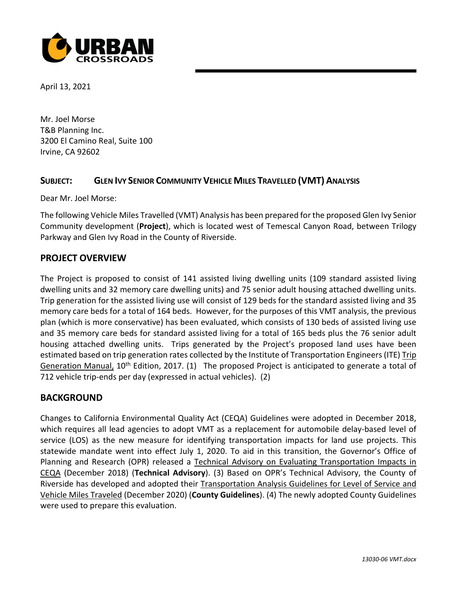

April 13, 2021

Mr. Joel Morse T&B Planning Inc. 3200 El Camino Real, Suite 100 Irvine, CA 92602

## **SUBJECT: GLEN IVY SENIOR COMMUNITY VEHICLE MILES TRAVELLED (VMT) ANALYSIS**

Dear Mr. Joel Morse:

The following Vehicle Miles Travelled (VMT) Analysis has been prepared for the proposed Glen Ivy Senior Community development (**Project**), which is located west of Temescal Canyon Road, between Trilogy Parkway and Glen Ivy Road in the County of Riverside.

## **PROJECT OVERVIEW**

The Project is proposed to consist of 141 assisted living dwelling units (109 standard assisted living dwelling units and 32 memory care dwelling units) and 75 senior adult housing attached dwelling units. Trip generation for the assisted living use will consist of 129 beds for the standard assisted living and 35 memory care beds for a total of 164 beds. However, for the purposes of this VMT analysis, the previous plan (which is more conservative) has been evaluated, which consists of 130 beds of assisted living use and 35 memory care beds for standard assisted living for a total of 165 beds plus the 76 senior adult housing attached dwelling units. Trips generated by the Project's proposed land uses have been estimated based on trip generation rates collected by the Institute of Transportation Engineers (ITE) Trip Generation Manual, 10<sup>th</sup> Edition, 2017. (1) The proposed Project is anticipated to generate a total of 712 vehicle trip-ends per day (expressed in actual vehicles). (2)

## **BACKGROUND**

Changes to California Environmental Quality Act (CEQA) Guidelines were adopted in December 2018, which requires all lead agencies to adopt VMT as a replacement for automobile delay-based level of service (LOS) as the new measure for identifying transportation impacts for land use projects. This statewide mandate went into effect July 1, 2020. To aid in this transition, the Governor's Office of Planning and Research (OPR) released a Technical Advisory on Evaluating Transportation Impacts in CEQA (December 2018) (**Technical Advisory**). (3) Based on OPR's Technical Advisory, the County of Riverside has developed and adopted their Transportation Analysis Guidelines for Level of Service and Vehicle Miles Traveled (December 2020) (**County Guidelines**). (4) The newly adopted County Guidelines were used to prepare this evaluation.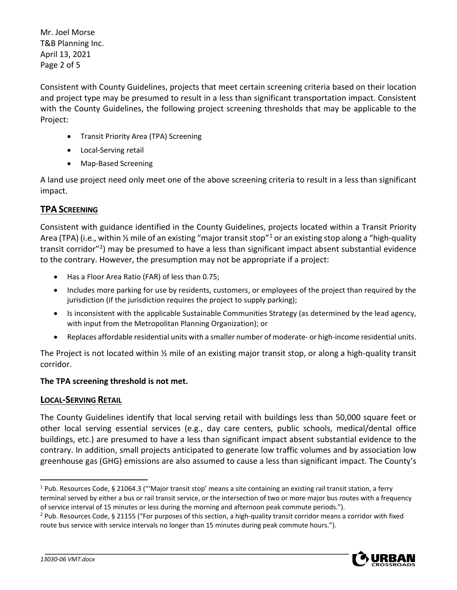Mr. Joel Morse T&B Planning Inc. April 13, 2021 Page 2 of 5

Consistent with County Guidelines, projects that meet certain screening criteria based on their location and project type may be presumed to result in a less than significant transportation impact. Consistent with the County Guidelines, the following project screening thresholds that may be applicable to the Project:

- Transit Priority Area (TPA) Screening
- Local-Serving retail
- Map-Based Screening

A land use project need only meet one of the above screening criteria to result in a less than significant impact.

# **TPA SCREENING**

Consistent with guidance identified in the County Guidelines, projects located within a Transit Priority Area (TPA) (i.e., within  $\frac{1}{2}$  $\frac{1}{2}$  $\frac{1}{2}$  mile of an existing "major transit stop"<sup>1</sup> or an existing stop along a "high-quality transit corridor"<sup>[2](#page-1-1)</sup>) may be presumed to have a less than significant impact absent substantial evidence to the contrary. However, the presumption may not be appropriate if a project:

- Has a Floor Area Ratio (FAR) of less than 0.75;
- Includes more parking for use by residents, customers, or employees of the project than required by the jurisdiction (if the jurisdiction requires the project to supply parking);
- Is inconsistent with the applicable Sustainable Communities Strategy (as determined by the lead agency, with input from the Metropolitan Planning Organization); or
- Replaces affordable residential units with a smaller number of moderate- or high-income residential units.

The Project is not located within ½ mile of an existing major transit stop, or along a high-quality transit corridor.

## **The TPA screening threshold is not met.**

## **LOCAL-SERVING RETAIL**

The County Guidelines identify that local serving retail with buildings less than 50,000 square feet or other local serving essential services (e.g., day care centers, public schools, medical/dental office buildings, etc.) are presumed to have a less than significant impact absent substantial evidence to the contrary. In addition, small projects anticipated to generate low traffic volumes and by association low greenhouse gas (GHG) emissions are also assumed to cause a less than significant impact. The County's

<span id="page-1-1"></span><sup>2</sup> Pub. Resources Code, § 21155 ("For purposes of this section, a high-quality transit corridor means a corridor with fixed route bus service with service intervals no longer than 15 minutes during peak commute hours.").



<span id="page-1-0"></span><sup>&</sup>lt;sup>1</sup> Pub. Resources Code, § 21064.3 ("'Major transit stop' means a site containing an existing rail transit station, a ferry terminal served by either a bus or rail transit service, or the intersection of two or more major bus routes with a frequency of service interval of 15 minutes or less during the morning and afternoon peak commute periods.").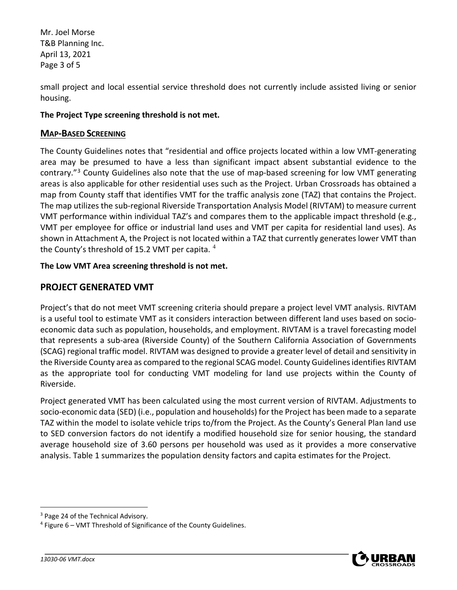Mr. Joel Morse T&B Planning Inc. April 13, 2021 Page 3 of 5

small project and local essential service threshold does not currently include assisted living or senior housing.

## **The Project Type screening threshold is not met.**

## **MAP-BASED SCREENING**

The County Guidelines notes that "residential and office projects located within a low VMT-generating area may be presumed to have a less than significant impact absent substantial evidence to the contrary."[3](#page-2-0) County Guidelines also note that the use of map-based screening for low VMT generating areas is also applicable for other residential uses such as the Project. Urban Crossroads has obtained a map from County staff that identifies VMT for the traffic analysis zone (TAZ) that contains the Project. The map utilizes the sub-regional Riverside Transportation Analysis Model (RIVTAM) to measure current VMT performance within individual TAZ's and compares them to the applicable impact threshold (e.g., VMT per employee for office or industrial land uses and VMT per capita for residential land uses). As shown in Attachment A, the Project is not located within a TAZ that currently generates lower VMT than the County's threshold of 15.2 VMT per capita.  $4$ 

## **The Low VMT Area screening threshold is not met.**

# **PROJECT GENERATED VMT**

Project's that do not meet VMT screening criteria should prepare a project level VMT analysis. RIVTAM is a useful tool to estimate VMT as it considers interaction between different land uses based on socioeconomic data such as population, households, and employment. RIVTAM is a travel forecasting model that represents a sub-area (Riverside County) of the Southern California Association of Governments (SCAG) regional traffic model. RIVTAM was designed to provide a greater level of detail and sensitivity in the Riverside County area as compared to the regional SCAG model. County Guidelines identifies RIVTAM as the appropriate tool for conducting VMT modeling for land use projects within the County of Riverside.

Project generated VMT has been calculated using the most current version of RIVTAM. Adjustments to socio-economic data (SED) (i.e., population and households) for the Project has been made to a separate TAZ within the model to isolate vehicle trips to/from the Project. As the County's General Plan land use to SED conversion factors do not identify a modified household size for senior housing, the standard average household size of 3.60 persons per household was used as it provides a more conservative analysis. Table 1 summarizes the population density factors and capita estimates for the Project.



<span id="page-2-0"></span><sup>&</sup>lt;sup>3</sup> Page 24 of the Technical Advisory.

<span id="page-2-1"></span><sup>4</sup> Figure 6 – VMT Threshold of Significance of the County Guidelines.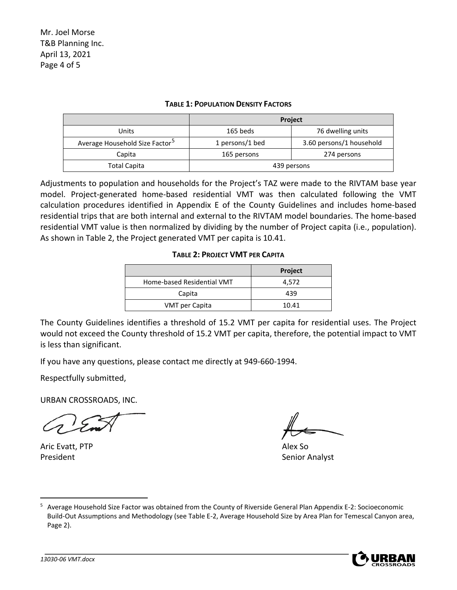#### **TABLE 1: POPULATION DENSITY FACTORS**

|                                            | <b>Project</b>  |                          |
|--------------------------------------------|-----------------|--------------------------|
| Units                                      | 165 beds        | 76 dwelling units        |
| Average Household Size Factor <sup>5</sup> | 1 persons/1 bed | 3.60 persons/1 household |
| Capita                                     | 165 persons     | 274 persons              |
| Total Capita                               | 439 persons     |                          |

Adjustments to population and households for the Project's TAZ were made to the RIVTAM base year model. Project-generated home-based residential VMT was then calculated following the VMT calculation procedures identified in Appendix E of the County Guidelines and includes home-based residential trips that are both internal and external to the RIVTAM model boundaries. The home-based residential VMT value is then normalized by dividing by the number of Project capita (i.e., population). As shown in Table 2, the Project generated VMT per capita is 10.41.

#### **TABLE 2: PROJECT VMT PER CAPITA**

|                            | <b>Project</b> |
|----------------------------|----------------|
| Home-based Residential VMT | 4.572          |
| Capita                     | 439            |
| VMT per Capita             | 10.41          |

The County Guidelines identifies a threshold of 15.2 VMT per capita for residential uses. The Project would not exceed the County threshold of 15.2 VMT per capita, therefore, the potential impact to VMT is less than significant.

If you have any questions, please contact me directly at 949-660-1994.

Respectfully submitted,

URBAN CROSSROADS, INC.

Aric Evatt, PTP Alex So President **Senior Analyst** Senior Analyst

<span id="page-3-0"></span><sup>5</sup> Average Household Size Factor was obtained from the County of Riverside General Plan Appendix E-2: Socioeconomic Build-Out Assumptions and Methodology (see Table E-2, Average Household Size by Area Plan for Temescal Canyon area, Page 2).

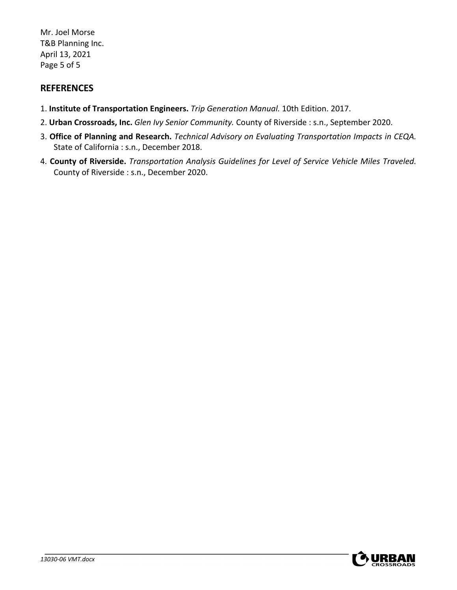Mr. Joel Morse T&B Planning Inc. April 13, 2021 Page 5 of 5

# **REFERENCES**

- 1. **Institute of Transportation Engineers.** *Trip Generation Manual.* 10th Edition. 2017.
- 2. **Urban Crossroads, Inc.** *Glen Ivy Senior Community.* County of Riverside : s.n., September 2020.
- 3. **Office of Planning and Research.** *Technical Advisory on Evaluating Transportation Impacts in CEQA.*  State of California : s.n., December 2018.
- 4. **County of Riverside.** *Transportation Analysis Guidelines for Level of Service Vehicle Miles Traveled.*  County of Riverside : s.n., December 2020.

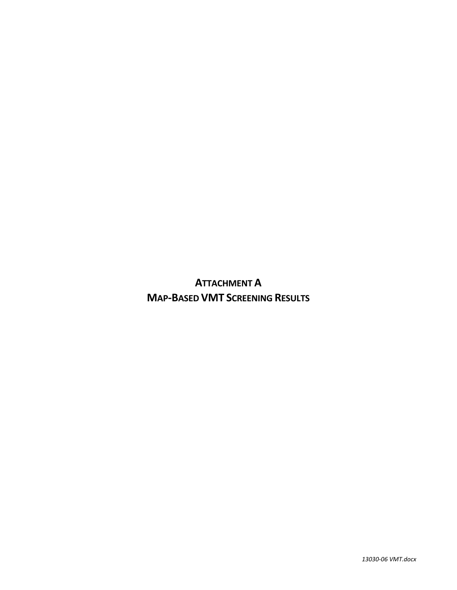**ATTACHMENT A MAP-BASED VMT SCREENING RESULTS**